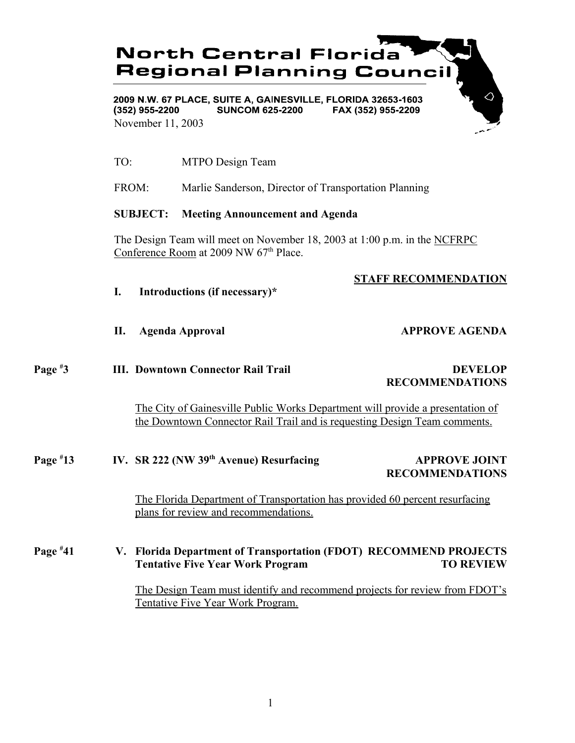# **North Central Florida Regional Planning Council**

2009 N.W. 67 PLACE, SUITE A. GAINESVILLE, FLORIDA 32653-1603  $(352)$  955-2200 **SUNCOM 625-2200** FAX (352) 955-2209 November 11, 2003

TO: MTPO Design Team

FROM: Marlie Sanderson, Director of Transportation Planning

### **SUBJECT: Meeting Announcement and Agenda**

The Design Team will meet on November 18, 2003 at 1:00 p.m. in the NCFRPC Conference Room at 2009 NW 67<sup>th</sup> Place.

## **STAFF RECOMMENDATION**

- **I. Introductions (if necessary)\***
- **II.** Agenda Approval **APPROVE AGENDA**

#### **Page # 3 III. Downtown Connector Rail Trail DEVELOP**

# **RECOMMENDATIONS**

The City of Gainesville Public Works Department will provide a presentation of the Downtown Connector Rail Trail and is requesting Design Team comments.

### **Page # 13 IV. SR 222 (NW 39<sup>th</sup> Avenue) Resurfacing APPROVE JOINT RECOMMENDATIONS**

The Florida Department of Transportation has provided 60 percent resurfacing plans for review and recommendations.

### **Page # 41 V. Florida Department of Transportation (FDOT) RECOMMEND PROJECTS Tentative Five Year Work Program TO REVIEW**

The Design Team must identify and recommend projects for review from FDOT's Tentative Five Year Work Program.